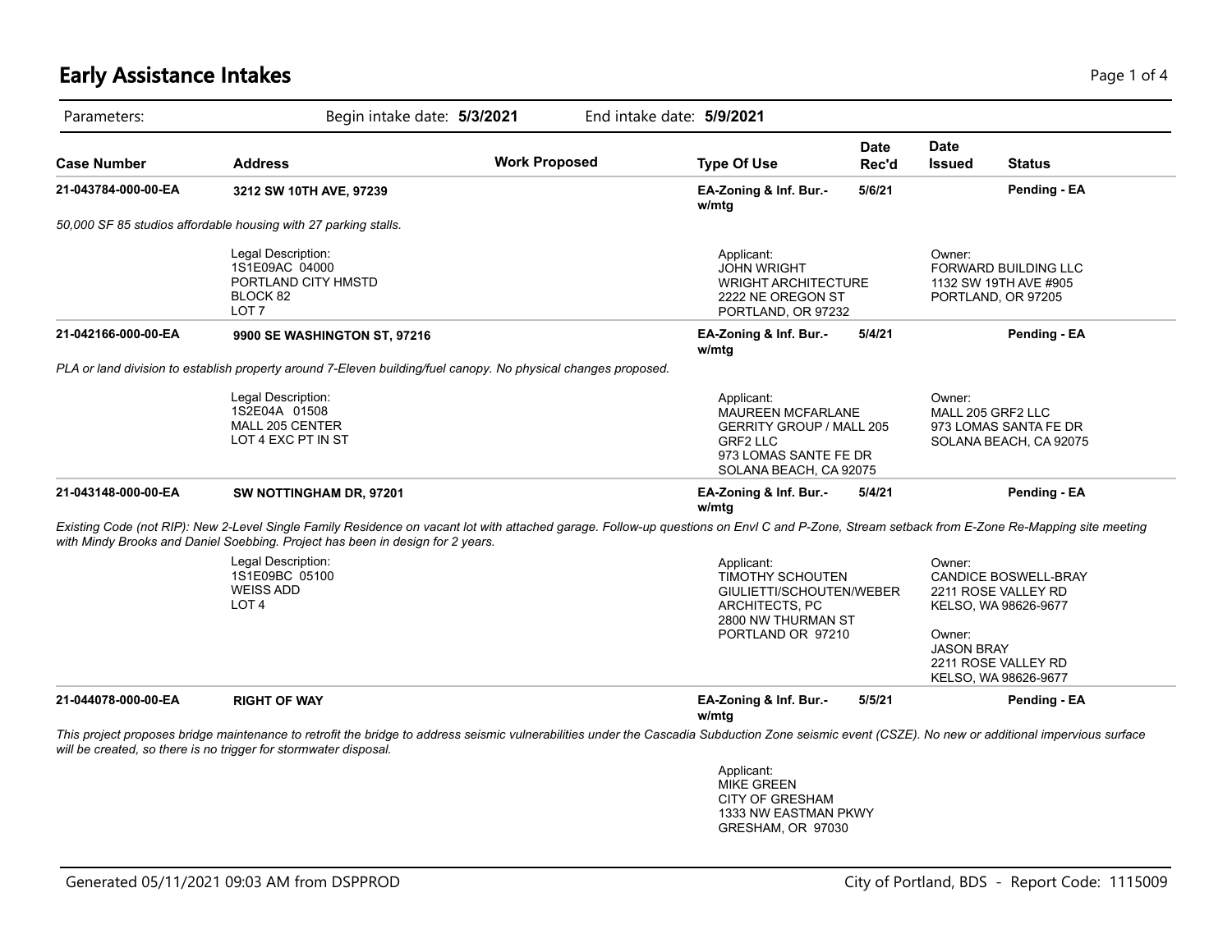## **Early Assistance Intakes** Page 1 of 4

| Parameters:         | Begin intake date: 5/3/2021                                                                                                                                                                                                                                                     |                      | End intake date: 5/9/2021                                                                                                                       |                                                                                                                         |                                                                                |                                                                                                                                                             |  |
|---------------------|---------------------------------------------------------------------------------------------------------------------------------------------------------------------------------------------------------------------------------------------------------------------------------|----------------------|-------------------------------------------------------------------------------------------------------------------------------------------------|-------------------------------------------------------------------------------------------------------------------------|--------------------------------------------------------------------------------|-------------------------------------------------------------------------------------------------------------------------------------------------------------|--|
| <b>Case Number</b>  | <b>Address</b>                                                                                                                                                                                                                                                                  | <b>Work Proposed</b> | <b>Type Of Use</b>                                                                                                                              | <b>Date</b><br>Rec'd                                                                                                    | <b>Date</b><br><b>Issued</b>                                                   | <b>Status</b>                                                                                                                                               |  |
| 21-043784-000-00-EA | 3212 SW 10TH AVE, 97239                                                                                                                                                                                                                                                         |                      | EA-Zoning & Inf. Bur.-<br>w/mtg                                                                                                                 | 5/6/21                                                                                                                  |                                                                                | Pending - EA                                                                                                                                                |  |
|                     | 50,000 SF 85 studios affordable housing with 27 parking stalls.                                                                                                                                                                                                                 |                      |                                                                                                                                                 |                                                                                                                         |                                                                                |                                                                                                                                                             |  |
|                     | Legal Description:<br>1S1E09AC 04000<br>PORTLAND CITY HMSTD<br>BLOCK 82<br>LOT <sub>7</sub>                                                                                                                                                                                     |                      | Applicant:<br><b>JOHN WRIGHT</b><br>2222 NE OREGON ST                                                                                           | <b>WRIGHT ARCHITECTURE</b><br>PORTLAND, OR 97232                                                                        |                                                                                | Owner:<br><b>FORWARD BUILDING LLC</b><br>1132 SW 19TH AVE #905<br>PORTLAND, OR 97205                                                                        |  |
| 21-042166-000-00-EA | 9900 SE WASHINGTON ST, 97216                                                                                                                                                                                                                                                    |                      | EA-Zoning & Inf. Bur.-<br>w/mtg                                                                                                                 | 5/4/21                                                                                                                  |                                                                                | Pending - EA                                                                                                                                                |  |
|                     | PLA or land division to establish property around 7-Eleven building/fuel canopy. No physical changes proposed.                                                                                                                                                                  |                      |                                                                                                                                                 |                                                                                                                         |                                                                                |                                                                                                                                                             |  |
|                     | Legal Description:<br>1S2E04A 01508<br>MALL 205 CENTER<br>LOT 4 EXC PT IN ST                                                                                                                                                                                                    |                      | Applicant:<br><b>MAUREEN MCFARLANE</b><br><b>GERRITY GROUP / MALL 205</b><br><b>GRF2 LLC</b><br>973 LOMAS SANTE FE DR<br>SOLANA BEACH, CA 92075 |                                                                                                                         | Owner:<br>MALL 205 GRF2 LLC<br>973 LOMAS SANTA FE DR<br>SOLANA BEACH, CA 92075 |                                                                                                                                                             |  |
| 21-043148-000-00-EA | SW NOTTINGHAM DR, 97201                                                                                                                                                                                                                                                         |                      | EA-Zoning & Inf. Bur.-<br>w/mtg                                                                                                                 | 5/4/21                                                                                                                  |                                                                                | Pending - EA                                                                                                                                                |  |
|                     | Existing Code (not RIP): New 2-Level Single Family Residence on vacant lot with attached garage. Follow-up questions on Envl C and P-Zone, Stream setback from E-Zone Re-Mapping site meeting<br>with Mindy Brooks and Daniel Soebbing. Project has been in design for 2 years. |                      |                                                                                                                                                 |                                                                                                                         |                                                                                |                                                                                                                                                             |  |
|                     | Legal Description:<br>1S1E09BC 05100<br><b>WEISS ADD</b><br>LOT <sub>4</sub>                                                                                                                                                                                                    |                      |                                                                                                                                                 | Applicant:<br>TIMOTHY SCHOUTEN<br>GIULIETTI/SCHOUTEN/WEBER<br>ARCHITECTS, PC<br>2800 NW THURMAN ST<br>PORTLAND OR 97210 |                                                                                | Owner:<br>CANDICE BOSWELL-BRAY<br>2211 ROSE VALLEY RD<br>KELSO, WA 98626-9677<br>Owner:<br><b>JASON BRAY</b><br>2211 ROSE VALLEY RD<br>KELSO, WA 98626-9677 |  |
| 21-044078-000-00-EA | <b>RIGHT OF WAY</b>                                                                                                                                                                                                                                                             |                      | EA-Zoning & Inf. Bur.-<br>w/mtg                                                                                                                 | 5/5/21                                                                                                                  |                                                                                | Pending - EA                                                                                                                                                |  |
|                     | This project proposes bridge maintenance to retrofit the bridge to address seismic vulnerabilities under the Cascadia Subduction Zone seismic event (CSZE). No new or additional impervious surface<br>will be created, so there is no trigger for stormwater disposal.         |                      |                                                                                                                                                 |                                                                                                                         |                                                                                |                                                                                                                                                             |  |
|                     |                                                                                                                                                                                                                                                                                 |                      | Applicant:<br><b>MIKE GREEN</b><br><b>CITY OF GRESHAM</b>                                                                                       |                                                                                                                         |                                                                                |                                                                                                                                                             |  |

1333 NW EASTMAN PKWY GRESHAM, OR 97030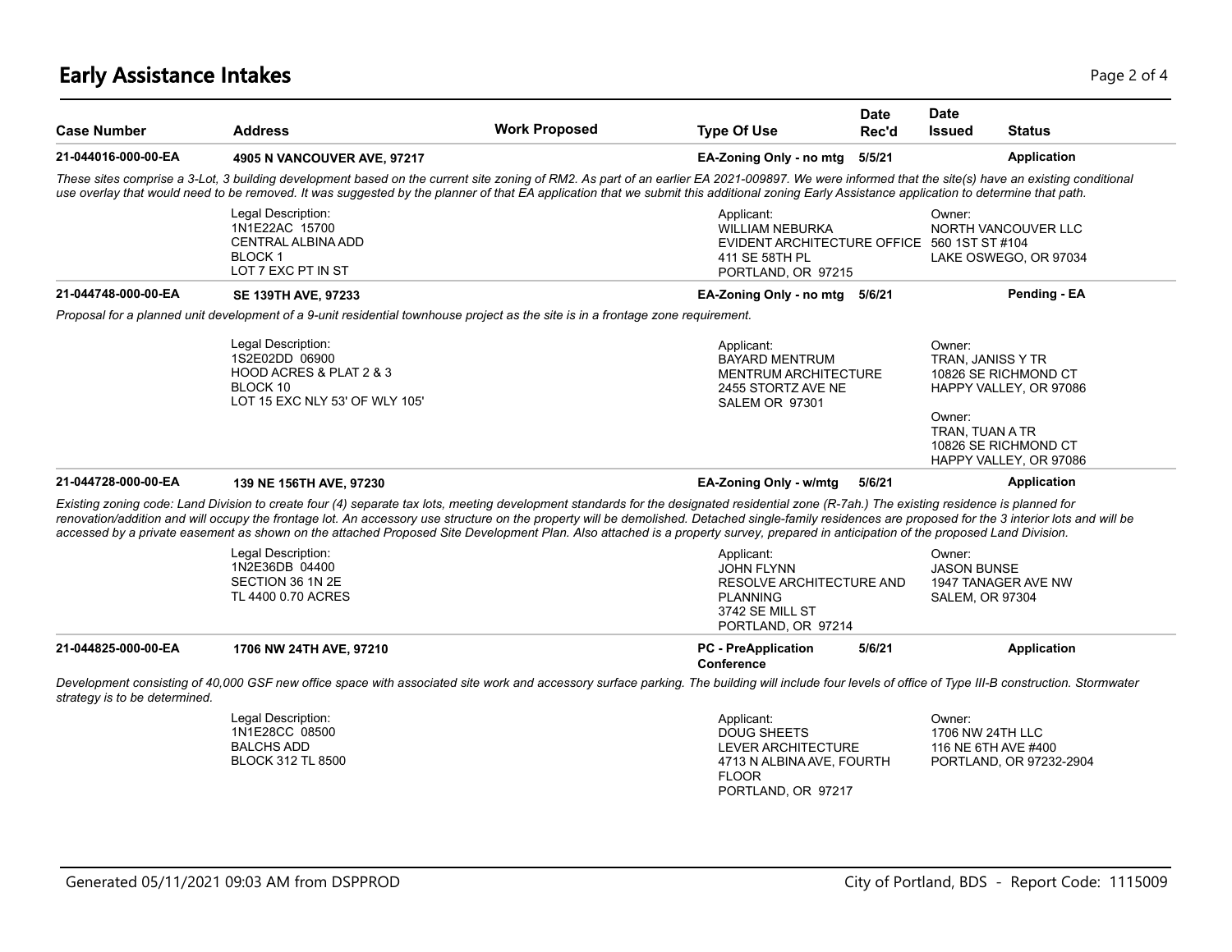## **Early Assistance Intakes** Page 2 of 4

| <b>Case Number</b>            | <b>Address</b>                                                                                                                                                                                                                                                                                                                                                                                                                                                                                                                                                                               | <b>Work Proposed</b> | <b>Type Of Use</b>                                                                                                        | <b>Date</b><br>Rec'd                                   | <b>Date</b><br><b>Issued</b><br><b>Status</b>                                                                                                                |  |
|-------------------------------|----------------------------------------------------------------------------------------------------------------------------------------------------------------------------------------------------------------------------------------------------------------------------------------------------------------------------------------------------------------------------------------------------------------------------------------------------------------------------------------------------------------------------------------------------------------------------------------------|----------------------|---------------------------------------------------------------------------------------------------------------------------|--------------------------------------------------------|--------------------------------------------------------------------------------------------------------------------------------------------------------------|--|
| 21-044016-000-00-EA           | 4905 N VANCOUVER AVE, 97217                                                                                                                                                                                                                                                                                                                                                                                                                                                                                                                                                                  |                      | EA-Zoning Only - no mtg                                                                                                   | 5/5/21                                                 | <b>Application</b>                                                                                                                                           |  |
|                               | These sites comprise a 3-Lot, 3 building development based on the current site zoning of RM2. As part of an earlier EA 2021-009897. We were informed that the site(s) have an existing conditional<br>use overlay that would need to be removed. It was suggested by the planner of that EA application that we submit this additional zoning Early Assistance application to determine that path.                                                                                                                                                                                           |                      |                                                                                                                           |                                                        |                                                                                                                                                              |  |
|                               | Legal Description:<br>Applicant:<br>1N1E22AC 15700<br><b>WILLIAM NEBURKA</b><br><b>CENTRAL ALBINA ADD</b><br>EVIDENT ARCHITECTURE OFFICE 560 1ST ST #104<br><b>BLOCK1</b><br>411 SE 58TH PL<br>LOT 7 EXC PT IN ST<br>PORTLAND, OR 97215                                                                                                                                                                                                                                                                                                                                                      |                      |                                                                                                                           | Owner:<br>NORTH VANCOUVER LLC<br>LAKE OSWEGO, OR 97034 |                                                                                                                                                              |  |
| 21-044748-000-00-EA           | <b>SE 139TH AVE, 97233</b>                                                                                                                                                                                                                                                                                                                                                                                                                                                                                                                                                                   |                      | EA-Zoning Only - no mtg 5/6/21                                                                                            |                                                        | Pending - EA                                                                                                                                                 |  |
|                               | Proposal for a planned unit development of a 9-unit residential townhouse project as the site is in a frontage zone requirement.                                                                                                                                                                                                                                                                                                                                                                                                                                                             |                      |                                                                                                                           |                                                        |                                                                                                                                                              |  |
|                               | Legal Description:<br>1S2E02DD 06900<br>HOOD ACRES & PLAT 2 & 3<br>BLOCK 10<br>LOT 15 EXC NLY 53' OF WLY 105'                                                                                                                                                                                                                                                                                                                                                                                                                                                                                |                      | Applicant:<br><b>BAYARD MENTRUM</b><br><b>MENTRUM ARCHITECTURE</b><br>2455 STORTZ AVE NE<br><b>SALEM OR 97301</b>         |                                                        | Owner:<br>TRAN, JANISS Y TR<br>10826 SE RICHMOND CT<br>HAPPY VALLEY, OR 97086<br>Owner:<br>TRAN. TUAN A TR<br>10826 SE RICHMOND CT<br>HAPPY VALLEY, OR 97086 |  |
| 21-044728-000-00-EA           | 139 NE 156TH AVE, 97230                                                                                                                                                                                                                                                                                                                                                                                                                                                                                                                                                                      |                      | EA-Zoning Only - w/mtg                                                                                                    | 5/6/21                                                 | Application                                                                                                                                                  |  |
|                               | Existing zoning code: Land Division to create four (4) separate tax lots, meeting development standards for the designated residential zone (R-7ah.) The existing residence is planned for<br>renovation/addition and will occupy the frontage lot. An accessory use structure on the property will be demolished. Detached single-family residences are proposed for the 3 interior lots and will be<br>accessed by a private easement as shown on the attached Proposed Site Development Plan. Also attached is a property survey, prepared in anticipation of the proposed Land Division. |                      |                                                                                                                           |                                                        |                                                                                                                                                              |  |
|                               | Legal Description:<br>1N2E36DB 04400<br>SECTION 36 1N 2E<br>TL 4400 0.70 ACRES                                                                                                                                                                                                                                                                                                                                                                                                                                                                                                               |                      | Applicant:<br><b>JOHN FLYNN</b><br>RESOLVE ARCHITECTURE AND<br><b>PLANNING</b><br>3742 SE MILL ST<br>PORTLAND, OR 97214   |                                                        | Owner:<br><b>JASON BUNSE</b><br>1947 TANAGER AVE NW<br><b>SALEM, OR 97304</b>                                                                                |  |
| 21-044825-000-00-EA           | 1706 NW 24TH AVE, 97210                                                                                                                                                                                                                                                                                                                                                                                                                                                                                                                                                                      |                      | <b>PC</b> - PreApplication<br>Conference                                                                                  | 5/6/21                                                 | <b>Application</b>                                                                                                                                           |  |
| strategy is to be determined. | Development consisting of 40,000 GSF new office space with associated site work and accessory surface parking. The building will include four levels of office of Type III-B construction. Stormwater                                                                                                                                                                                                                                                                                                                                                                                        |                      |                                                                                                                           |                                                        |                                                                                                                                                              |  |
|                               | Legal Description:<br>1N1E28CC 08500<br><b>BALCHS ADD</b><br><b>BLOCK 312 TL 8500</b>                                                                                                                                                                                                                                                                                                                                                                                                                                                                                                        |                      | Applicant:<br><b>DOUG SHEETS</b><br>LEVER ARCHITECTURE<br>4713 N ALBINA AVE, FOURTH<br><b>FLOOR</b><br>PORTLAND, OR 97217 |                                                        | Owner:<br>1706 NW 24TH LLC<br>116 NE 6TH AVE #400<br>PORTLAND, OR 97232-2904                                                                                 |  |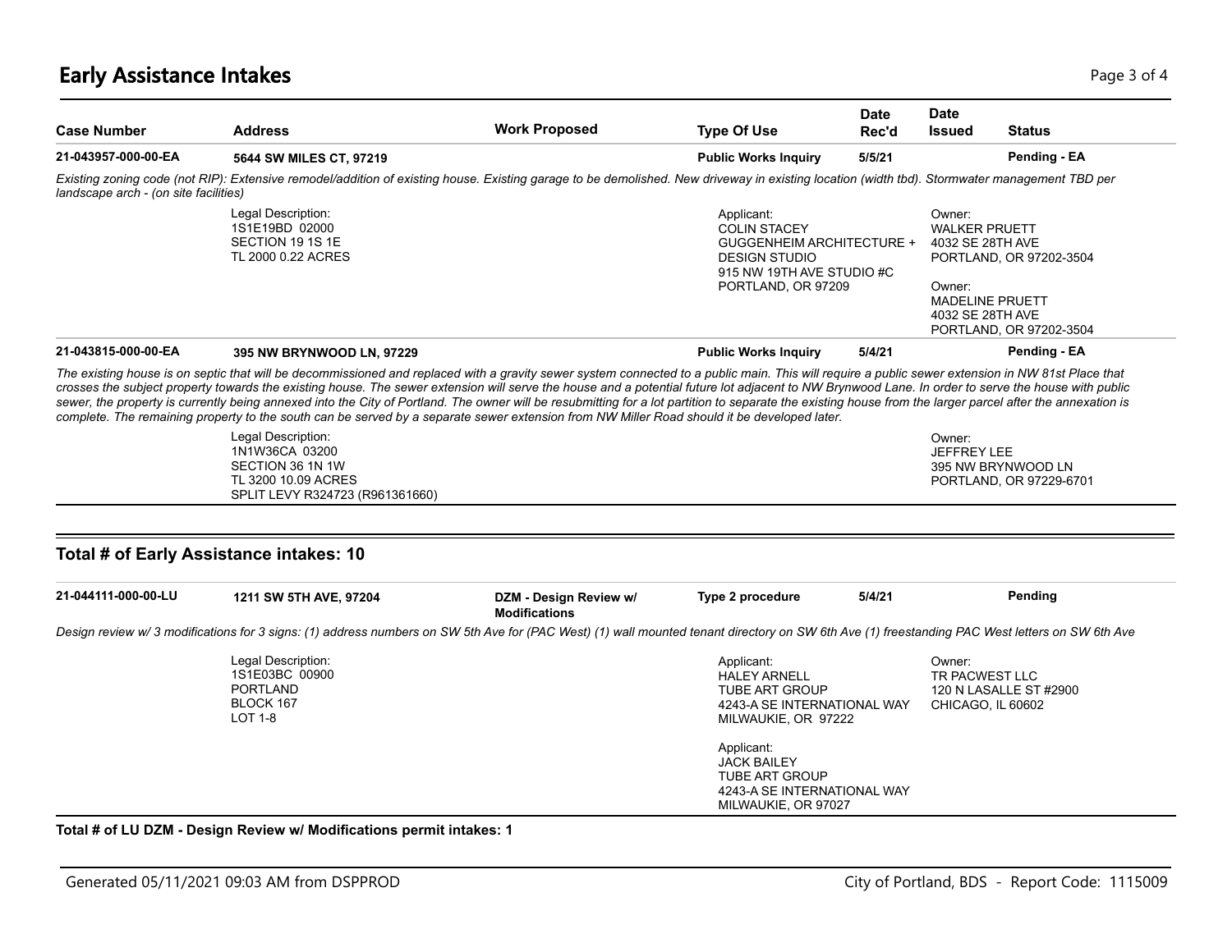## **Early Assistance Intakes** Page 1 of 4

| <b>Case Number</b>                                             | <b>Address</b>                                                                                                                                                                                                                                                                                                                                                                                                                                                                                                                                                                                                                                                                                                                                                                                                                                          | <b>Work Proposed</b>   | <b>Type Of Use</b>                                                                                                                        | <b>Date</b><br>Rec'd | <b>Date</b><br><b>Issued</b>                                                                                                                                     | <b>Status</b>                                 |
|----------------------------------------------------------------|---------------------------------------------------------------------------------------------------------------------------------------------------------------------------------------------------------------------------------------------------------------------------------------------------------------------------------------------------------------------------------------------------------------------------------------------------------------------------------------------------------------------------------------------------------------------------------------------------------------------------------------------------------------------------------------------------------------------------------------------------------------------------------------------------------------------------------------------------------|------------------------|-------------------------------------------------------------------------------------------------------------------------------------------|----------------------|------------------------------------------------------------------------------------------------------------------------------------------------------------------|-----------------------------------------------|
| 21-043957-000-00-EA                                            | 5644 SW MILES CT, 97219                                                                                                                                                                                                                                                                                                                                                                                                                                                                                                                                                                                                                                                                                                                                                                                                                                 |                        | <b>Public Works Inquiry</b>                                                                                                               | 5/5/21               |                                                                                                                                                                  | Pending - EA                                  |
| landscape arch - (on site facilities)                          | Existing zoning code (not RIP): Extensive remodel/addition of existing house. Existing garage to be demolished. New driveway in existing location (width tbd). Stormwater management TBD per                                                                                                                                                                                                                                                                                                                                                                                                                                                                                                                                                                                                                                                            |                        |                                                                                                                                           |                      |                                                                                                                                                                  |                                               |
|                                                                | Legal Description:<br>1S1E19BD 02000<br>SECTION 19 1S 1E<br>TL 2000 0.22 ACRES                                                                                                                                                                                                                                                                                                                                                                                                                                                                                                                                                                                                                                                                                                                                                                          |                        | Applicant:<br><b>COLIN STACEY</b><br>GUGGENHEIM ARCHITECTURE +<br><b>DESIGN STUDIO</b><br>915 NW 19TH AVE STUDIO #C<br>PORTLAND, OR 97209 |                      | Owner:<br><b>WALKER PRUETT</b><br>4032 SE 28TH AVE<br>PORTLAND, OR 97202-3504<br>Owner:<br><b>MADELINE PRUETT</b><br>4032 SE 28TH AVE<br>PORTLAND, OR 97202-3504 |                                               |
| 21-043815-000-00-EA                                            | 395 NW BRYNWOOD LN, 97229                                                                                                                                                                                                                                                                                                                                                                                                                                                                                                                                                                                                                                                                                                                                                                                                                               |                        | <b>Public Works Inquiry</b>                                                                                                               | 5/4/21               |                                                                                                                                                                  | Pending - EA                                  |
|                                                                | The existing house is on septic that will be decommissioned and replaced with a gravity sewer system connected to a public main. This will require a public sewer extension in NW 81st Place that<br>crosses the subject property towards the existing house. The sewer extension will serve the house and a potential future lot adjacent to NW Brynwood Lane. In order to serve the house with public<br>sewer, the property is currently being annexed into the City of Portland. The owner will be resubmitting for a lot partition to separate the existing house from the larger parcel after the annexation is<br>complete. The remaining property to the south can be served by a separate sewer extension from NW Miller Road should it be developed later.<br>Legal Description:<br>1N1W36CA 03200<br>SECTION 36 1N 1W<br>TL 3200 10.09 ACRES |                        |                                                                                                                                           |                      | Owner:<br><b>JEFFREY LEE</b>                                                                                                                                     | 395 NW BRYNWOOD LN<br>PORTLAND, OR 97229-6701 |
|                                                                | SPLIT LEVY R324723 (R961361660)                                                                                                                                                                                                                                                                                                                                                                                                                                                                                                                                                                                                                                                                                                                                                                                                                         |                        |                                                                                                                                           |                      |                                                                                                                                                                  |                                               |
| Total # of Early Assistance intakes: 10<br>21-044111-000-00-LU | 1211 SW 5TH AVE, 97204                                                                                                                                                                                                                                                                                                                                                                                                                                                                                                                                                                                                                                                                                                                                                                                                                                  | DZM - Design Review w/ | Type 2 procedure                                                                                                                          | 5/4/21               |                                                                                                                                                                  | Pending                                       |
|                                                                | Design review w/3 modifications for 3 signs: (1) address numbers on SW 5th Ave for (PAC West) (1) wall mounted tenant directory on SW 6th Ave (1) freestanding PAC West letters on SW 6th Ave                                                                                                                                                                                                                                                                                                                                                                                                                                                                                                                                                                                                                                                           | <b>Modifications</b>   |                                                                                                                                           |                      |                                                                                                                                                                  |                                               |